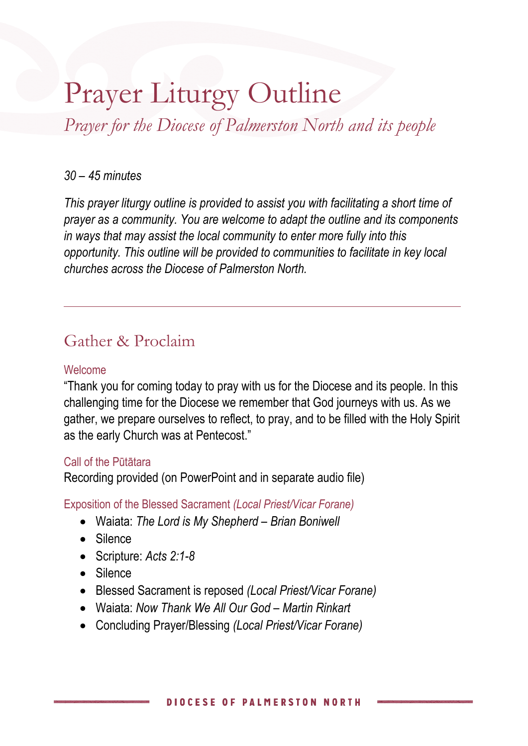# Prayer Liturgy Outline

*Prayer for the Diocese of Palmerston North and its people*

#### *30 – 45 minutes*

*This prayer liturgy outline is provided to assist you with facilitating a short time of prayer as a community. You are welcome to adapt the outline and its components in ways that may assist the local community to enter more fully into this opportunity. This outline will be provided to communities to facilitate in key local churches across the Diocese of Palmerston North.*

## Gather & Proclaim

#### Welcome

"Thank you for coming today to pray with us for the Diocese and its people. In this challenging time for the Diocese we remember that God journeys with us. As we gather, we prepare ourselves to reflect, to pray, and to be filled with the Holy Spirit as the early Church was at Pentecost."

#### Call of the Pūtātara

Recording provided (on PowerPoint and in separate audio file)

Exposition of the Blessed Sacrament *(Local Priest/Vicar Forane)*

- Waiata: *The Lord is My Shepherd – Brian Boniwell*
- Silence
- Scripture: *Acts 2:1-8*
- Silence
- Blessed Sacrament is reposed *(Local Priest/Vicar Forane)*
- Waiata: *Now Thank We All Our God – Martin Rinkart*
- Concluding Prayer/Blessing *(Local Priest/Vicar Forane)*